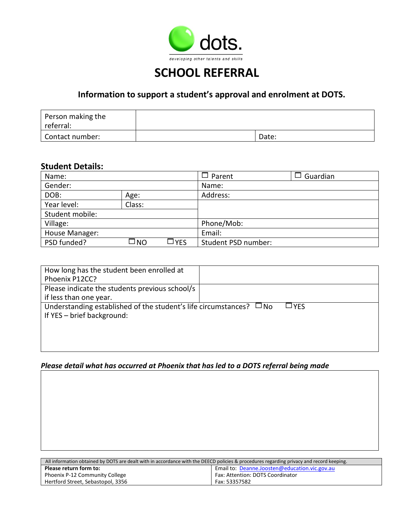

## **SCHOOL REFERRAL**

## **Information to support a student's approval and enrolment at DOTS.**

| Person making the<br>referral: |       |
|--------------------------------|-------|
| Contact number:                | Date: |

### **Student Details:**

| Name:           |        |      | $\Box$ Parent       | $\Box$ Guardian |
|-----------------|--------|------|---------------------|-----------------|
| Gender:         |        |      | Name:               |                 |
| DOB:            | Age:   |      | Address:            |                 |
| Year level:     | Class: |      |                     |                 |
| Student mobile: |        |      |                     |                 |
| Village:        |        |      | Phone/Mob:          |                 |
| House Manager:  |        |      | Email:              |                 |
| PSD funded?     | □NO    | ∃YES | Student PSD number: |                 |

| How long has the student been enrolled at                                |              |
|--------------------------------------------------------------------------|--------------|
| Phoenix P12CC?                                                           |              |
| Please indicate the students previous school/s                           |              |
| if less than one year.                                                   |              |
| Understanding established of the student's life circumstances? $\Box$ No | $\sqcup$ YFS |
| If YES - brief background:                                               |              |
|                                                                          |              |
|                                                                          |              |
|                                                                          |              |

### *Please detail what has occurred at Phoenix that has led to a DOTS referral being made*

| All information obtained by DOTS are dealt with in accordance with the DEECD policies & procedures regarding privacy and record keeping. |                                  |  |  |
|------------------------------------------------------------------------------------------------------------------------------------------|----------------------------------|--|--|
| Email to: Deanne.Joosten@education.vic.gov.au<br>Please return form to:                                                                  |                                  |  |  |
| Phoenix P-12 Community College                                                                                                           | Fax: Attention: DOTS Coordinator |  |  |
| Hertford Street, Sebastopol, 3356                                                                                                        | Fax: 53357582                    |  |  |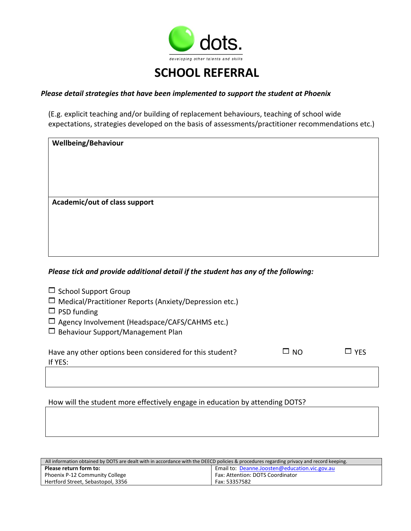

# **SCHOOL REFERRAL**

#### *Please detail strategies that have been implemented to support the student at Phoenix*

(E.g. explicit teaching and/or building of replacement behaviours, teaching of school wide expectations, strategies developed on the basis of assessments/practitioner recommendations etc.)

| <b>Wellbeing/Behaviour</b>    |  |  |
|-------------------------------|--|--|
|                               |  |  |
|                               |  |  |
| Academic/out of class support |  |  |
|                               |  |  |
|                               |  |  |
|                               |  |  |

#### *Please tick and provide additional detail if the student has any of the following:*

| $\Box$ School Support Group |  |
|-----------------------------|--|
|-----------------------------|--|

| $\Box$ Medical/Practitioner Reports (Anxiety/Depression etc.) |  |
|---------------------------------------------------------------|--|
|---------------------------------------------------------------|--|

- $\Box$  PSD funding
- $\square$  Agency Involvement (Headspace/CAFS/CAHMS etc.)
- $\Box$  Behaviour Support/Management Plan

| Have any other options been considered for this student? | YES ב |
|----------------------------------------------------------|-------|
| If YES:                                                  |       |

### How will the student more effectively engage in education by attending DOTS?

| All information obtained by DOTS are dealt with in accordance with the DEECD policies & procedures regarding privacy and record keeping. |                                               |  |
|------------------------------------------------------------------------------------------------------------------------------------------|-----------------------------------------------|--|
| Please return form to:                                                                                                                   | Email to: Deanne.Joosten@education.vic.gov.au |  |
| Phoenix P-12 Community College                                                                                                           | Fax: Attention: DOTS Coordinator              |  |
| Hertford Street, Sebastopol, 3356                                                                                                        | Fax: 53357582                                 |  |